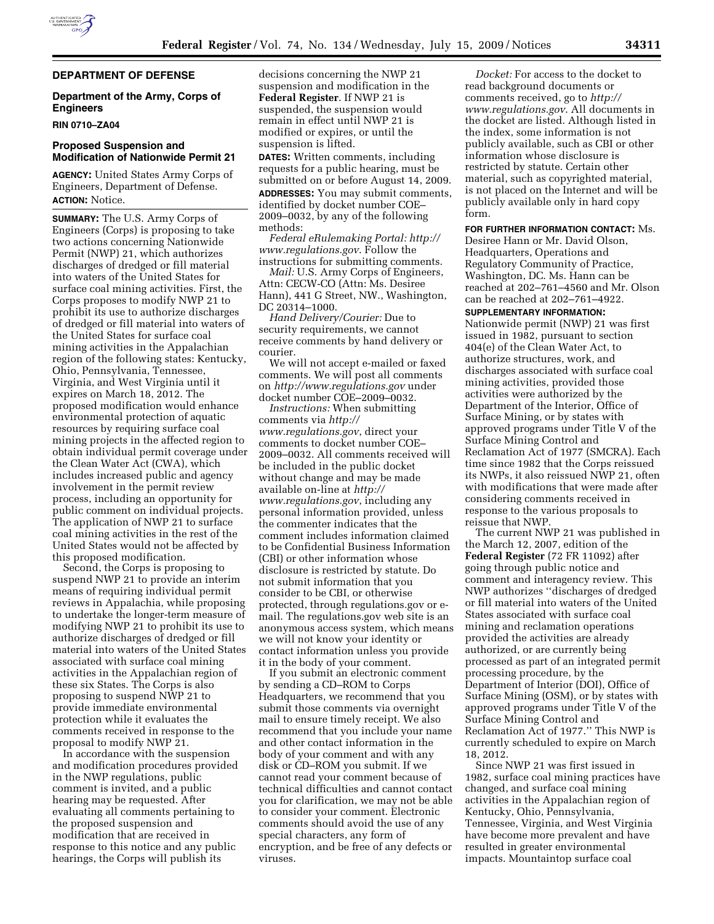

# **Department of the Army, Corps of Engineers**

#### **RIN 0710–ZA04**

#### **Proposed Suspension and Modification of Nationwide Permit 21**

**AGENCY:** United States Army Corps of Engineers, Department of Defense. **ACTION:** Notice.

**SUMMARY:** The U.S. Army Corps of Engineers (Corps) is proposing to take two actions concerning Nationwide Permit (NWP) 21, which authorizes discharges of dredged or fill material into waters of the United States for surface coal mining activities. First, the Corps proposes to modify NWP 21 to prohibit its use to authorize discharges of dredged or fill material into waters of the United States for surface coal mining activities in the Appalachian region of the following states: Kentucky, Ohio, Pennsylvania, Tennessee, Virginia, and West Virginia until it expires on March 18, 2012. The proposed modification would enhance environmental protection of aquatic resources by requiring surface coal mining projects in the affected region to obtain individual permit coverage under the Clean Water Act (CWA), which includes increased public and agency involvement in the permit review process, including an opportunity for public comment on individual projects. The application of NWP 21 to surface coal mining activities in the rest of the United States would not be affected by this proposed modification.

Second, the Corps is proposing to suspend NWP 21 to provide an interim means of requiring individual permit reviews in Appalachia, while proposing to undertake the longer-term measure of modifying NWP 21 to prohibit its use to authorize discharges of dredged or fill material into waters of the United States associated with surface coal mining activities in the Appalachian region of these six States. The Corps is also proposing to suspend NWP 21 to provide immediate environmental protection while it evaluates the comments received in response to the proposal to modify NWP 21.

In accordance with the suspension and modification procedures provided in the NWP regulations, public comment is invited, and a public hearing may be requested. After evaluating all comments pertaining to the proposed suspension and modification that are received in response to this notice and any public hearings, the Corps will publish its

decisions concerning the NWP 21 suspension and modification in the **Federal Register**. If NWP 21 is suspended, the suspension would remain in effect until NWP 21 is modified or expires, or until the suspension is lifted.

**DATES:** Written comments, including requests for a public hearing, must be submitted on or before August 14, 2009. **ADDRESSES:** You may submit comments, identified by docket number COE– 2009–0032, by any of the following methods:

*Federal eRulemaking Portal: http:// www.regulations.gov*. Follow the instructions for submitting comments.

*Mail:* U.S. Army Corps of Engineers, Attn: CECW-CO (Attn: Ms. Desiree Hann), 441 G Street, NW., Washington, DC 20314–1000.

*Hand Delivery/Courier:* Due to security requirements, we cannot receive comments by hand delivery or courier.

We will not accept e-mailed or faxed comments. We will post all comments on *http://www.regulations.gov* under docket number COE–2009–0032.

*Instructions:* When submitting comments via *http:// www.regulations.gov*, direct your comments to docket number COE– 2009–0032. All comments received will be included in the public docket without change and may be made available on-line at *http:// www.regulations.gov*, including any personal information provided, unless the commenter indicates that the comment includes information claimed to be Confidential Business Information (CBI) or other information whose disclosure is restricted by statute. Do not submit information that you consider to be CBI, or otherwise protected, through regulations.gov or email. The regulations.gov web site is an anonymous access system, which means we will not know your identity or contact information unless you provide it in the body of your comment.

If you submit an electronic comment by sending a CD–ROM to Corps Headquarters, we recommend that you submit those comments via overnight mail to ensure timely receipt. We also recommend that you include your name and other contact information in the body of your comment and with any disk or CD–ROM you submit. If we cannot read your comment because of technical difficulties and cannot contact you for clarification, we may not be able to consider your comment. Electronic comments should avoid the use of any special characters, any form of encryption, and be free of any defects or viruses.

*Docket:* For access to the docket to read background documents or comments received, go to *http:// www.regulations.gov*. All documents in the docket are listed. Although listed in the index, some information is not publicly available, such as CBI or other information whose disclosure is restricted by statute. Certain other material, such as copyrighted material, is not placed on the Internet and will be publicly available only in hard copy form.

**FOR FURTHER INFORMATION CONTACT:** Ms. Desiree Hann or Mr. David Olson, Headquarters, Operations and Regulatory Community of Practice, Washington, DC. Ms. Hann can be reached at 202–761–4560 and Mr. Olson can be reached at 202–761–4922.

**SUPPLEMENTARY INFORMATION:**  Nationwide permit (NWP) 21 was first issued in 1982, pursuant to section 404(e) of the Clean Water Act, to authorize structures, work, and discharges associated with surface coal mining activities, provided those activities were authorized by the Department of the Interior, Office of Surface Mining, or by states with approved programs under Title V of the Surface Mining Control and Reclamation Act of 1977 (SMCRA). Each time since 1982 that the Corps reissued its NWPs, it also reissued NWP 21, often with modifications that were made after considering comments received in response to the various proposals to reissue that NWP.

The current NWP 21 was published in the March 12, 2007, edition of the **Federal Register** (72 FR 11092) after going through public notice and comment and interagency review. This NWP authorizes ''discharges of dredged or fill material into waters of the United States associated with surface coal mining and reclamation operations provided the activities are already authorized, or are currently being processed as part of an integrated permit processing procedure, by the Department of Interior (DOI), Office of Surface Mining (OSM), or by states with approved programs under Title V of the Surface Mining Control and Reclamation Act of 1977.'' This NWP is currently scheduled to expire on March 18, 2012.

Since NWP 21 was first issued in 1982, surface coal mining practices have changed, and surface coal mining activities in the Appalachian region of Kentucky, Ohio, Pennsylvania, Tennessee, Virginia, and West Virginia have become more prevalent and have resulted in greater environmental impacts. Mountaintop surface coal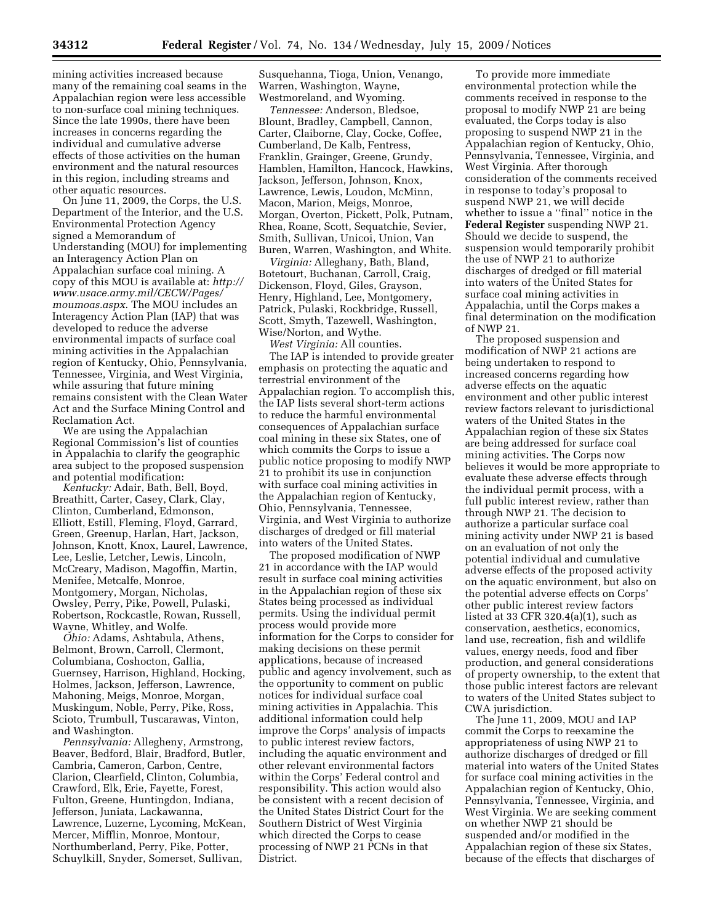mining activities increased because many of the remaining coal seams in the Appalachian region were less accessible to non-surface coal mining techniques. Since the late 1990s, there have been increases in concerns regarding the individual and cumulative adverse effects of those activities on the human environment and the natural resources in this region, including streams and other aquatic resources.

On June 11, 2009, the Corps, the U.S. Department of the Interior, and the U.S. Environmental Protection Agency signed a Memorandum of Understanding (MOU) for implementing an Interagency Action Plan on Appalachian surface coal mining. A copy of this MOU is available at: *http:// www.usace.army.mil/CECW/Pages/ moumoas.aspx*. The MOU includes an Interagency Action Plan (IAP) that was developed to reduce the adverse environmental impacts of surface coal mining activities in the Appalachian region of Kentucky, Ohio, Pennsylvania, Tennessee, Virginia, and West Virginia, while assuring that future mining remains consistent with the Clean Water Act and the Surface Mining Control and Reclamation Act.

We are using the Appalachian Regional Commission's list of counties in Appalachia to clarify the geographic area subject to the proposed suspension and potential modification:

*Kentucky:* Adair, Bath, Bell, Boyd, Breathitt, Carter, Casey, Clark, Clay, Clinton, Cumberland, Edmonson, Elliott, Estill, Fleming, Floyd, Garrard, Green, Greenup, Harlan, Hart, Jackson, Johnson, Knott, Knox, Laurel, Lawrence, Lee, Leslie, Letcher, Lewis, Lincoln, McCreary, Madison, Magoffin, Martin, Menifee, Metcalfe, Monroe, Montgomery, Morgan, Nicholas, Owsley, Perry, Pike, Powell, Pulaski, Robertson, Rockcastle, Rowan, Russell, Wayne, Whitley, and Wolfe.

*Ohio:* Adams, Ashtabula, Athens, Belmont, Brown, Carroll, Clermont, Columbiana, Coshocton, Gallia, Guernsey, Harrison, Highland, Hocking, Holmes, Jackson, Jefferson, Lawrence, Mahoning, Meigs, Monroe, Morgan, Muskingum, Noble, Perry, Pike, Ross, Scioto, Trumbull, Tuscarawas, Vinton, and Washington.

*Pennsylvania:* Allegheny, Armstrong, Beaver, Bedford, Blair, Bradford, Butler, Cambria, Cameron, Carbon, Centre, Clarion, Clearfield, Clinton, Columbia, Crawford, Elk, Erie, Fayette, Forest, Fulton, Greene, Huntingdon, Indiana, Jefferson, Juniata, Lackawanna, Lawrence, Luzerne, Lycoming, McKean, Mercer, Mifflin, Monroe, Montour, Northumberland, Perry, Pike, Potter, Schuylkill, Snyder, Somerset, Sullivan,

Susquehanna, Tioga, Union, Venango, Warren, Washington, Wayne, Westmoreland, and Wyoming.

*Tennessee:* Anderson, Bledsoe, Blount, Bradley, Campbell, Cannon, Carter, Claiborne, Clay, Cocke, Coffee, Cumberland, De Kalb, Fentress, Franklin, Grainger, Greene, Grundy, Hamblen, Hamilton, Hancock, Hawkins, Jackson, Jefferson, Johnson, Knox, Lawrence, Lewis, Loudon, McMinn, Macon, Marion, Meigs, Monroe, Morgan, Overton, Pickett, Polk, Putnam, Rhea, Roane, Scott, Sequatchie, Sevier, Smith, Sullivan, Unicoi, Union, Van Buren, Warren, Washington, and White.

*Virginia:* Alleghany, Bath, Bland, Botetourt, Buchanan, Carroll, Craig, Dickenson, Floyd, Giles, Grayson, Henry, Highland, Lee, Montgomery, Patrick, Pulaski, Rockbridge, Russell, Scott, Smyth, Tazewell, Washington, Wise/Norton, and Wythe.

*West Virginia:* All counties.

The IAP is intended to provide greater emphasis on protecting the aquatic and terrestrial environment of the Appalachian region. To accomplish this, the IAP lists several short-term actions to reduce the harmful environmental consequences of Appalachian surface coal mining in these six States, one of which commits the Corps to issue a public notice proposing to modify NWP 21 to prohibit its use in conjunction with surface coal mining activities in the Appalachian region of Kentucky, Ohio, Pennsylvania, Tennessee, Virginia, and West Virginia to authorize discharges of dredged or fill material into waters of the United States.

The proposed modification of NWP 21 in accordance with the IAP would result in surface coal mining activities in the Appalachian region of these six States being processed as individual permits. Using the individual permit process would provide more information for the Corps to consider for making decisions on these permit applications, because of increased public and agency involvement, such as the opportunity to comment on public notices for individual surface coal mining activities in Appalachia. This additional information could help improve the Corps' analysis of impacts to public interest review factors, including the aquatic environment and other relevant environmental factors within the Corps' Federal control and responsibility. This action would also be consistent with a recent decision of the United States District Court for the Southern District of West Virginia which directed the Corps to cease processing of NWP 21 PCNs in that District.

To provide more immediate environmental protection while the comments received in response to the proposal to modify NWP 21 are being evaluated, the Corps today is also proposing to suspend NWP 21 in the Appalachian region of Kentucky, Ohio, Pennsylvania, Tennessee, Virginia, and West Virginia. After thorough consideration of the comments received in response to today's proposal to suspend NWP 21, we will decide whether to issue a ''final'' notice in the **Federal Register** suspending NWP 21. Should we decide to suspend, the suspension would temporarily prohibit the use of NWP 21 to authorize discharges of dredged or fill material into waters of the United States for surface coal mining activities in Appalachia, until the Corps makes a final determination on the modification of NWP 21.

The proposed suspension and modification of NWP 21 actions are being undertaken to respond to increased concerns regarding how adverse effects on the aquatic environment and other public interest review factors relevant to jurisdictional waters of the United States in the Appalachian region of these six States are being addressed for surface coal mining activities. The Corps now believes it would be more appropriate to evaluate these adverse effects through the individual permit process, with a full public interest review, rather than through NWP 21. The decision to authorize a particular surface coal mining activity under NWP 21 is based on an evaluation of not only the potential individual and cumulative adverse effects of the proposed activity on the aquatic environment, but also on the potential adverse effects on Corps' other public interest review factors listed at 33 CFR 320.4(a)(1), such as conservation, aesthetics, economics, land use, recreation, fish and wildlife values, energy needs, food and fiber production, and general considerations of property ownership, to the extent that those public interest factors are relevant to waters of the United States subject to CWA jurisdiction.

The June 11, 2009, MOU and IAP commit the Corps to reexamine the appropriateness of using NWP 21 to authorize discharges of dredged or fill material into waters of the United States for surface coal mining activities in the Appalachian region of Kentucky, Ohio, Pennsylvania, Tennessee, Virginia, and West Virginia. We are seeking comment on whether NWP 21 should be suspended and/or modified in the Appalachian region of these six States, because of the effects that discharges of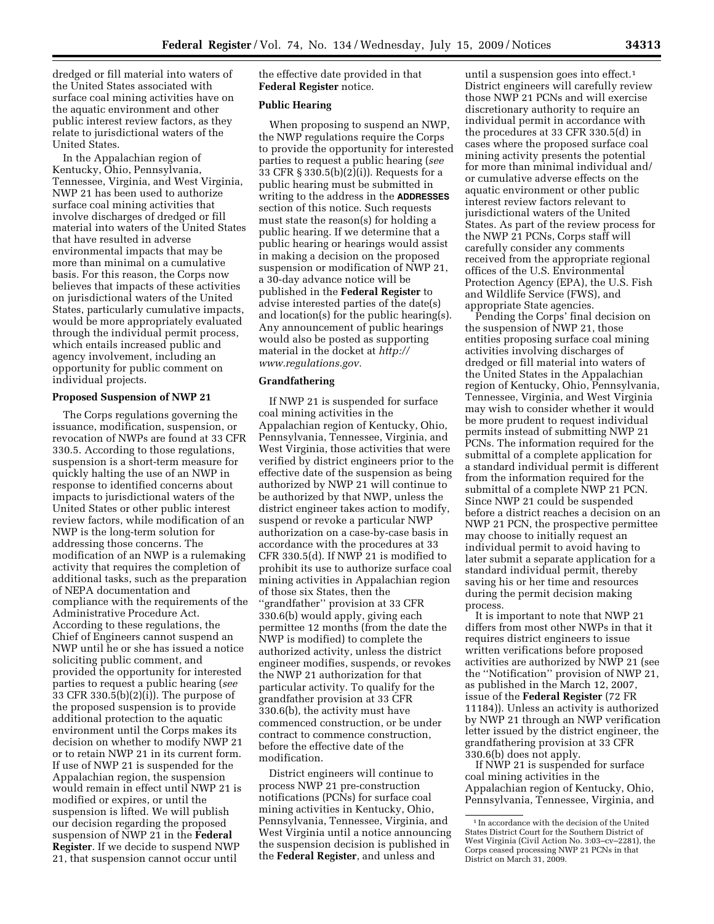dredged or fill material into waters of the United States associated with surface coal mining activities have on the aquatic environment and other public interest review factors, as they relate to jurisdictional waters of the United States.

In the Appalachian region of Kentucky, Ohio, Pennsylvania, Tennessee, Virginia, and West Virginia, NWP 21 has been used to authorize surface coal mining activities that involve discharges of dredged or fill material into waters of the United States that have resulted in adverse environmental impacts that may be more than minimal on a cumulative basis. For this reason, the Corps now believes that impacts of these activities on jurisdictional waters of the United States, particularly cumulative impacts, would be more appropriately evaluated through the individual permit process, which entails increased public and agency involvement, including an opportunity for public comment on individual projects.

### **Proposed Suspension of NWP 21**

The Corps regulations governing the issuance, modification, suspension, or revocation of NWPs are found at 33 CFR 330.5. According to those regulations, suspension is a short-term measure for quickly halting the use of an NWP in response to identified concerns about impacts to jurisdictional waters of the United States or other public interest review factors, while modification of an NWP is the long-term solution for addressing those concerns. The modification of an NWP is a rulemaking activity that requires the completion of additional tasks, such as the preparation of NEPA documentation and compliance with the requirements of the Administrative Procedure Act. According to these regulations, the Chief of Engineers cannot suspend an NWP until he or she has issued a notice soliciting public comment, and provided the opportunity for interested parties to request a public hearing (*see*  33 CFR 330.5(b)(2)(i)). The purpose of the proposed suspension is to provide additional protection to the aquatic environment until the Corps makes its decision on whether to modify NWP 21 or to retain NWP 21 in its current form. If use of NWP 21 is suspended for the Appalachian region, the suspension would remain in effect until NWP 21 is modified or expires, or until the suspension is lifted. We will publish our decision regarding the proposed suspension of NWP 21 in the **Federal Register**. If we decide to suspend NWP 21, that suspension cannot occur until

the effective date provided in that **Federal Register** notice.

### **Public Hearing**

When proposing to suspend an NWP, the NWP regulations require the Corps to provide the opportunity for interested parties to request a public hearing (*see*  33 CFR § 330.5(b)(2)(i)). Requests for a public hearing must be submitted in writing to the address in the **ADDRESSES** section of this notice. Such requests must state the reason(s) for holding a public hearing. If we determine that a public hearing or hearings would assist in making a decision on the proposed suspension or modification of NWP 21, a 30-day advance notice will be published in the **Federal Register** to advise interested parties of the date(s) and location(s) for the public hearing(s). Any announcement of public hearings would also be posted as supporting material in the docket at *http:// www.regulations.gov.* 

# **Grandfathering**

If NWP 21 is suspended for surface coal mining activities in the Appalachian region of Kentucky, Ohio, Pennsylvania, Tennessee, Virginia, and West Virginia, those activities that were verified by district engineers prior to the effective date of the suspension as being authorized by NWP 21 will continue to be authorized by that NWP, unless the district engineer takes action to modify, suspend or revoke a particular NWP authorization on a case-by-case basis in accordance with the procedures at 33 CFR 330.5(d). If NWP 21 is modified to prohibit its use to authorize surface coal mining activities in Appalachian region of those six States, then the ''grandfather'' provision at 33 CFR 330.6(b) would apply, giving each permittee 12 months (from the date the NWP is modified) to complete the authorized activity, unless the district engineer modifies, suspends, or revokes the NWP 21 authorization for that particular activity. To qualify for the grandfather provision at 33 CFR 330.6(b), the activity must have commenced construction, or be under contract to commence construction, before the effective date of the modification.

District engineers will continue to process NWP 21 pre-construction notifications (PCNs) for surface coal mining activities in Kentucky, Ohio, Pennsylvania, Tennessee, Virginia, and West Virginia until a notice announcing the suspension decision is published in the **Federal Register**, and unless and

until a suspension goes into effect.<sup>1</sup> District engineers will carefully review those NWP 21 PCNs and will exercise discretionary authority to require an individual permit in accordance with the procedures at 33 CFR 330.5(d) in cases where the proposed surface coal mining activity presents the potential for more than minimal individual and/ or cumulative adverse effects on the aquatic environment or other public interest review factors relevant to jurisdictional waters of the United States. As part of the review process for the NWP 21 PCNs, Corps staff will carefully consider any comments received from the appropriate regional offices of the U.S. Environmental Protection Agency (EPA), the U.S. Fish and Wildlife Service (FWS), and appropriate State agencies.

Pending the Corps' final decision on the suspension of NWP 21, those entities proposing surface coal mining activities involving discharges of dredged or fill material into waters of the United States in the Appalachian region of Kentucky, Ohio, Pennsylvania, Tennessee, Virginia, and West Virginia may wish to consider whether it would be more prudent to request individual permits instead of submitting NWP 21 PCNs. The information required for the submittal of a complete application for a standard individual permit is different from the information required for the submittal of a complete NWP 21 PCN. Since NWP 21 could be suspended before a district reaches a decision on an NWP 21 PCN, the prospective permittee may choose to initially request an individual permit to avoid having to later submit a separate application for a standard individual permit, thereby saving his or her time and resources during the permit decision making process.

It is important to note that NWP 21 differs from most other NWPs in that it requires district engineers to issue written verifications before proposed activities are authorized by NWP 21 (see the ''Notification'' provision of NWP 21, as published in the March 12, 2007, issue of the **Federal Register** (72 FR 11184)). Unless an activity is authorized by NWP 21 through an NWP verification letter issued by the district engineer, the grandfathering provision at 33 CFR 330.6(b) does not apply.

If NWP 21 is suspended for surface coal mining activities in the Appalachian region of Kentucky, Ohio, Pennsylvania, Tennessee, Virginia, and

<sup>1</sup> In accordance with the decision of the United States District Court for the Southern District of West Virginia (Civil Action No. 3:03–cv–2281), the Corps ceased processing NWP 21 PCNs in that District on March 31, 2009.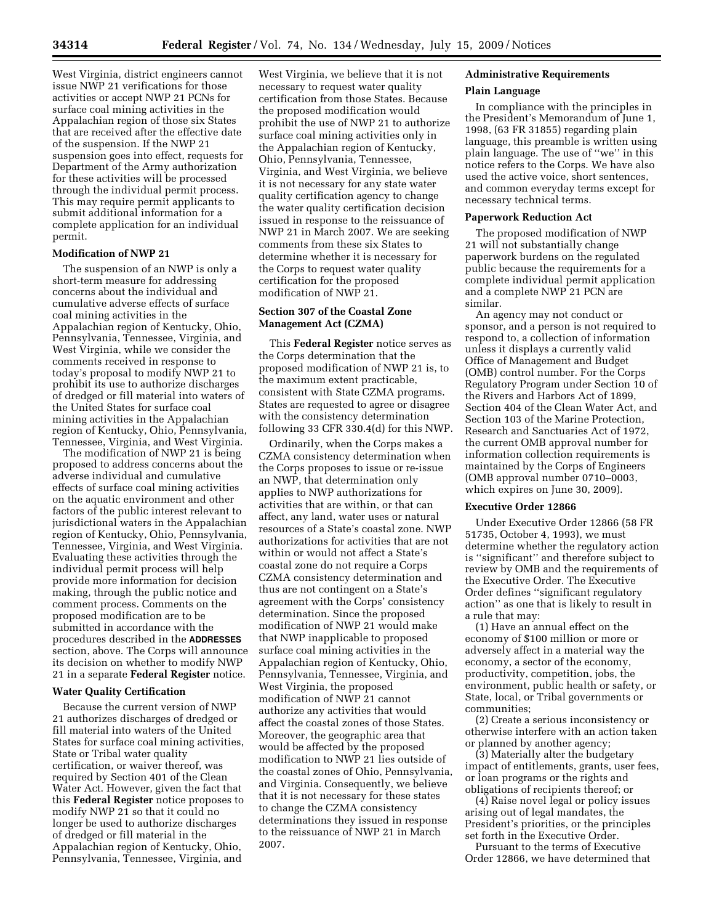West Virginia, district engineers cannot issue NWP 21 verifications for those activities or accept NWP 21 PCNs for surface coal mining activities in the Appalachian region of those six States that are received after the effective date of the suspension. If the NWP 21 suspension goes into effect, requests for Department of the Army authorization for these activities will be processed through the individual permit process. This may require permit applicants to submit additional information for a complete application for an individual permit.

#### **Modification of NWP 21**

The suspension of an NWP is only a short-term measure for addressing concerns about the individual and cumulative adverse effects of surface coal mining activities in the Appalachian region of Kentucky, Ohio, Pennsylvania, Tennessee, Virginia, and West Virginia, while we consider the comments received in response to today's proposal to modify NWP 21 to prohibit its use to authorize discharges of dredged or fill material into waters of the United States for surface coal mining activities in the Appalachian region of Kentucky, Ohio, Pennsylvania, Tennessee, Virginia, and West Virginia.

The modification of NWP 21 is being proposed to address concerns about the adverse individual and cumulative effects of surface coal mining activities on the aquatic environment and other factors of the public interest relevant to jurisdictional waters in the Appalachian region of Kentucky, Ohio, Pennsylvania, Tennessee, Virginia, and West Virginia. Evaluating these activities through the individual permit process will help provide more information for decision making, through the public notice and comment process. Comments on the proposed modification are to be submitted in accordance with the procedures described in the **ADDRESSES** section, above. The Corps will announce its decision on whether to modify NWP 21 in a separate **Federal Register** notice.

#### **Water Quality Certification**

Because the current version of NWP 21 authorizes discharges of dredged or fill material into waters of the United States for surface coal mining activities, State or Tribal water quality certification, or waiver thereof, was required by Section 401 of the Clean Water Act. However, given the fact that this **Federal Register** notice proposes to modify NWP 21 so that it could no longer be used to authorize discharges of dredged or fill material in the Appalachian region of Kentucky, Ohio, Pennsylvania, Tennessee, Virginia, and

West Virginia, we believe that it is not necessary to request water quality certification from those States. Because the proposed modification would prohibit the use of NWP 21 to authorize surface coal mining activities only in the Appalachian region of Kentucky, Ohio, Pennsylvania, Tennessee, Virginia, and West Virginia, we believe it is not necessary for any state water quality certification agency to change the water quality certification decision issued in response to the reissuance of NWP 21 in March 2007. We are seeking comments from these six States to determine whether it is necessary for the Corps to request water quality certification for the proposed modification of NWP 21.

### **Section 307 of the Coastal Zone Management Act (CZMA)**

This **Federal Register** notice serves as the Corps determination that the proposed modification of NWP 21 is, to the maximum extent practicable, consistent with State CZMA programs. States are requested to agree or disagree with the consistency determination following 33 CFR 330.4(d) for this NWP.

Ordinarily, when the Corps makes a CZMA consistency determination when the Corps proposes to issue or re-issue an NWP, that determination only applies to NWP authorizations for activities that are within, or that can affect, any land, water uses or natural resources of a State's coastal zone. NWP authorizations for activities that are not within or would not affect a State's coastal zone do not require a Corps CZMA consistency determination and thus are not contingent on a State's agreement with the Corps' consistency determination. Since the proposed modification of NWP 21 would make that NWP inapplicable to proposed surface coal mining activities in the Appalachian region of Kentucky, Ohio, Pennsylvania, Tennessee, Virginia, and West Virginia, the proposed modification of NWP 21 cannot authorize any activities that would affect the coastal zones of those States. Moreover, the geographic area that would be affected by the proposed modification to NWP 21 lies outside of the coastal zones of Ohio, Pennsylvania, and Virginia. Consequently, we believe that it is not necessary for these states to change the CZMA consistency determinations they issued in response to the reissuance of NWP 21 in March 2007.

# **Administrative Requirements**

#### **Plain Language**

In compliance with the principles in the President's Memorandum of June 1, 1998, (63 FR 31855) regarding plain language, this preamble is written using plain language. The use of ''we'' in this notice refers to the Corps. We have also used the active voice, short sentences, and common everyday terms except for necessary technical terms.

### **Paperwork Reduction Act**

The proposed modification of NWP 21 will not substantially change paperwork burdens on the regulated public because the requirements for a complete individual permit application and a complete NWP 21 PCN are similar.

An agency may not conduct or sponsor, and a person is not required to respond to, a collection of information unless it displays a currently valid Office of Management and Budget (OMB) control number. For the Corps Regulatory Program under Section 10 of the Rivers and Harbors Act of 1899, Section 404 of the Clean Water Act, and Section 103 of the Marine Protection, Research and Sanctuaries Act of 1972, the current OMB approval number for information collection requirements is maintained by the Corps of Engineers (OMB approval number 0710–0003, which expires on June 30, 2009).

#### **Executive Order 12866**

Under Executive Order 12866 (58 FR 51735, October 4, 1993), we must determine whether the regulatory action is ''significant'' and therefore subject to review by OMB and the requirements of the Executive Order. The Executive Order defines ''significant regulatory action'' as one that is likely to result in a rule that may:

(1) Have an annual effect on the economy of \$100 million or more or adversely affect in a material way the economy, a sector of the economy, productivity, competition, jobs, the environment, public health or safety, or State, local, or Tribal governments or communities;

(2) Create a serious inconsistency or otherwise interfere with an action taken or planned by another agency;

(3) Materially alter the budgetary impact of entitlements, grants, user fees, or loan programs or the rights and obligations of recipients thereof; or

(4) Raise novel legal or policy issues arising out of legal mandates, the President's priorities, or the principles set forth in the Executive Order.

Pursuant to the terms of Executive Order 12866, we have determined that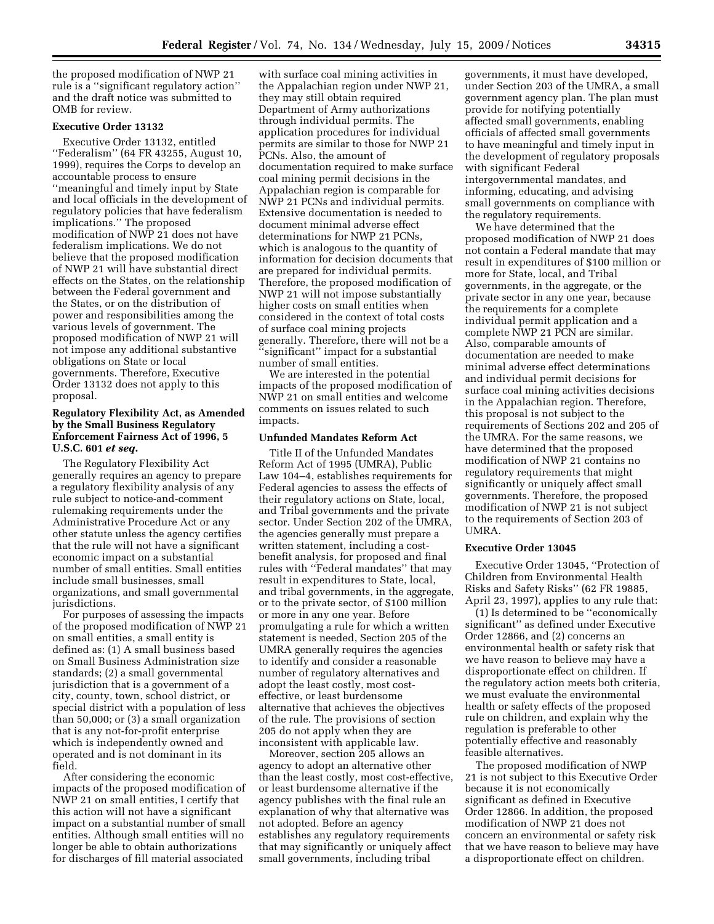the proposed modification of NWP 21 rule is a ''significant regulatory action'' and the draft notice was submitted to OMB for review.

### **Executive Order 13132**

Executive Order 13132, entitled ''Federalism'' (64 FR 43255, August 10, 1999), requires the Corps to develop an accountable process to ensure ''meaningful and timely input by State and local officials in the development of regulatory policies that have federalism implications.'' The proposed modification of NWP 21 does not have federalism implications. We do not believe that the proposed modification of NWP 21 will have substantial direct effects on the States, on the relationship between the Federal government and the States, or on the distribution of power and responsibilities among the various levels of government. The proposed modification of NWP 21 will not impose any additional substantive obligations on State or local governments. Therefore, Executive Order 13132 does not apply to this proposal.

### **Regulatory Flexibility Act, as Amended by the Small Business Regulatory Enforcement Fairness Act of 1996, 5 U.S.C. 601** *et seq.*

The Regulatory Flexibility Act generally requires an agency to prepare a regulatory flexibility analysis of any rule subject to notice-and-comment rulemaking requirements under the Administrative Procedure Act or any other statute unless the agency certifies that the rule will not have a significant economic impact on a substantial number of small entities. Small entities include small businesses, small organizations, and small governmental jurisdictions.

For purposes of assessing the impacts of the proposed modification of NWP 21 on small entities, a small entity is defined as: (1) A small business based on Small Business Administration size standards; (2) a small governmental jurisdiction that is a government of a city, county, town, school district, or special district with a population of less than 50,000; or (3) a small organization that is any not-for-profit enterprise which is independently owned and operated and is not dominant in its field.

After considering the economic impacts of the proposed modification of NWP 21 on small entities, I certify that this action will not have a significant impact on a substantial number of small entities. Although small entities will no longer be able to obtain authorizations for discharges of fill material associated

with surface coal mining activities in the Appalachian region under NWP 21, they may still obtain required Department of Army authorizations through individual permits. The application procedures for individual permits are similar to those for NWP 21 PCNs. Also, the amount of documentation required to make surface coal mining permit decisions in the Appalachian region is comparable for NWP 21 PCNs and individual permits. Extensive documentation is needed to document minimal adverse effect determinations for NWP 21 PCNs, which is analogous to the quantity of information for decision documents that are prepared for individual permits. Therefore, the proposed modification of NWP 21 will not impose substantially higher costs on small entities when considered in the context of total costs of surface coal mining projects generally. Therefore, there will not be a 'significant'' impact for a substantial number of small entities.

We are interested in the potential impacts of the proposed modification of NWP 21 on small entities and welcome comments on issues related to such impacts.

#### **Unfunded Mandates Reform Act**

Title II of the Unfunded Mandates Reform Act of 1995 (UMRA), Public Law 104–4, establishes requirements for Federal agencies to assess the effects of their regulatory actions on State, local, and Tribal governments and the private sector. Under Section 202 of the UMRA, the agencies generally must prepare a written statement, including a costbenefit analysis, for proposed and final rules with ''Federal mandates'' that may result in expenditures to State, local, and tribal governments, in the aggregate, or to the private sector, of \$100 million or more in any one year. Before promulgating a rule for which a written statement is needed, Section 205 of the UMRA generally requires the agencies to identify and consider a reasonable number of regulatory alternatives and adopt the least costly, most costeffective, or least burdensome alternative that achieves the objectives of the rule. The provisions of section 205 do not apply when they are inconsistent with applicable law.

Moreover, section 205 allows an agency to adopt an alternative other than the least costly, most cost-effective, or least burdensome alternative if the agency publishes with the final rule an explanation of why that alternative was not adopted. Before an agency establishes any regulatory requirements that may significantly or uniquely affect small governments, including tribal

governments, it must have developed, under Section 203 of the UMRA, a small government agency plan. The plan must provide for notifying potentially affected small governments, enabling officials of affected small governments to have meaningful and timely input in the development of regulatory proposals with significant Federal intergovernmental mandates, and informing, educating, and advising small governments on compliance with the regulatory requirements.

We have determined that the proposed modification of NWP 21 does not contain a Federal mandate that may result in expenditures of \$100 million or more for State, local, and Tribal governments, in the aggregate, or the private sector in any one year, because the requirements for a complete individual permit application and a complete NWP 21 PCN are similar. Also, comparable amounts of documentation are needed to make minimal adverse effect determinations and individual permit decisions for surface coal mining activities decisions in the Appalachian region. Therefore, this proposal is not subject to the requirements of Sections 202 and 205 of the UMRA. For the same reasons, we have determined that the proposed modification of NWP 21 contains no regulatory requirements that might significantly or uniquely affect small governments. Therefore, the proposed modification of NWP 21 is not subject to the requirements of Section 203 of UMRA.

#### **Executive Order 13045**

Executive Order 13045, ''Protection of Children from Environmental Health Risks and Safety Risks'' (62 FR 19885, April 23, 1997), applies to any rule that:

(1) Is determined to be ''economically significant'' as defined under Executive Order 12866, and (2) concerns an environmental health or safety risk that we have reason to believe may have a disproportionate effect on children. If the regulatory action meets both criteria, we must evaluate the environmental health or safety effects of the proposed rule on children, and explain why the regulation is preferable to other potentially effective and reasonably feasible alternatives.

The proposed modification of NWP 21 is not subject to this Executive Order because it is not economically significant as defined in Executive Order 12866. In addition, the proposed modification of NWP 21 does not concern an environmental or safety risk that we have reason to believe may have a disproportionate effect on children.